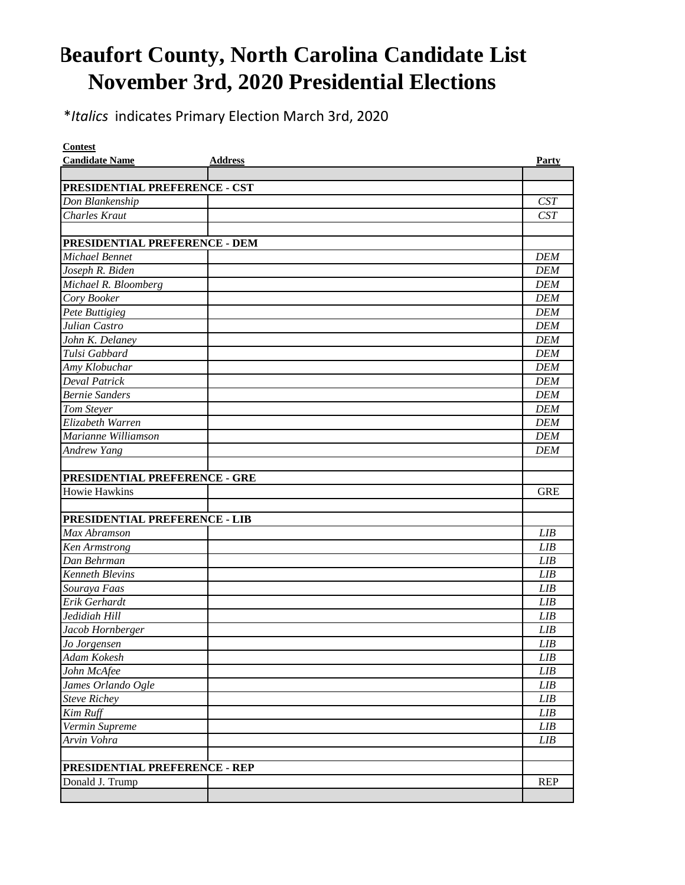## **Beaufort County, North Carolina Candidate List November 3rd, 2020 Presidential Elections**

\**Italics* indicates Primary Election March 3rd, 2020

| <b>Contest</b>                |                |             |
|-------------------------------|----------------|-------------|
| <b>Candidate Name</b>         | <b>Address</b> | Party       |
|                               |                |             |
| PRESIDENTIAL PREFERENCE - CST |                |             |
| Don Blankenship               |                | CST         |
| <b>Charles Kraut</b>          |                | CST         |
|                               |                |             |
| PRESIDENTIAL PREFERENCE - DEM |                |             |
| <b>Michael Bennet</b>         |                | <b>DEM</b>  |
| Joseph R. Biden               |                | <b>DEM</b>  |
| Michael R. Bloomberg          |                | <b>DEM</b>  |
| Cory Booker                   |                | <b>DEM</b>  |
| Pete Buttigieg                |                | <b>DEM</b>  |
| Julian Castro                 |                | <b>DEM</b>  |
| John K. Delaney               |                | <b>DEM</b>  |
| Tulsi Gabbard                 |                | <b>DEM</b>  |
| Amy Klobuchar                 |                | <b>DEM</b>  |
| Deval Patrick                 |                | <b>DEM</b>  |
| <b>Bernie Sanders</b>         |                | <b>DEM</b>  |
| Tom Steyer                    |                | <b>DEM</b>  |
| Elizabeth Warren              |                | <b>DEM</b>  |
| Marianne Williamson           |                | <b>DEM</b>  |
| <b>Andrew Yang</b>            |                | <b>DEM</b>  |
|                               |                |             |
| PRESIDENTIAL PREFERENCE - GRE |                |             |
| <b>Howie Hawkins</b>          |                | <b>GRE</b>  |
|                               |                |             |
| PRESIDENTIAL PREFERENCE - LIB |                |             |
| Max Abramson                  |                | LIB         |
| Ken Armstrong                 |                | <b>LIB</b>  |
| Dan Behrman                   |                | LIB         |
| <b>Kenneth Blevins</b>        |                | LIB         |
| Souraya Faas                  |                | LIB         |
| Erik Gerhardt                 |                | LIB         |
| Jedidiah Hill                 |                | LIB         |
| Jacob Hornberger              |                | <b>LIB</b>  |
| Jo Jorgensen                  |                | LIB         |
| Adam Kokesh                   |                | LIB         |
| John McAfee                   |                | LIB         |
| James Orlando Ogle            |                | LIB         |
| <b>Steve Richey</b>           |                | LIB         |
| Kim Ruff                      |                | LIB         |
| Vermin Supreme                |                | ${\it LIB}$ |
| Arvin Vohra                   |                | LIB         |
|                               |                |             |
| PRESIDENTIAL PREFERENCE - REP |                |             |
| Donald J. Trump               |                | <b>REP</b>  |
|                               |                |             |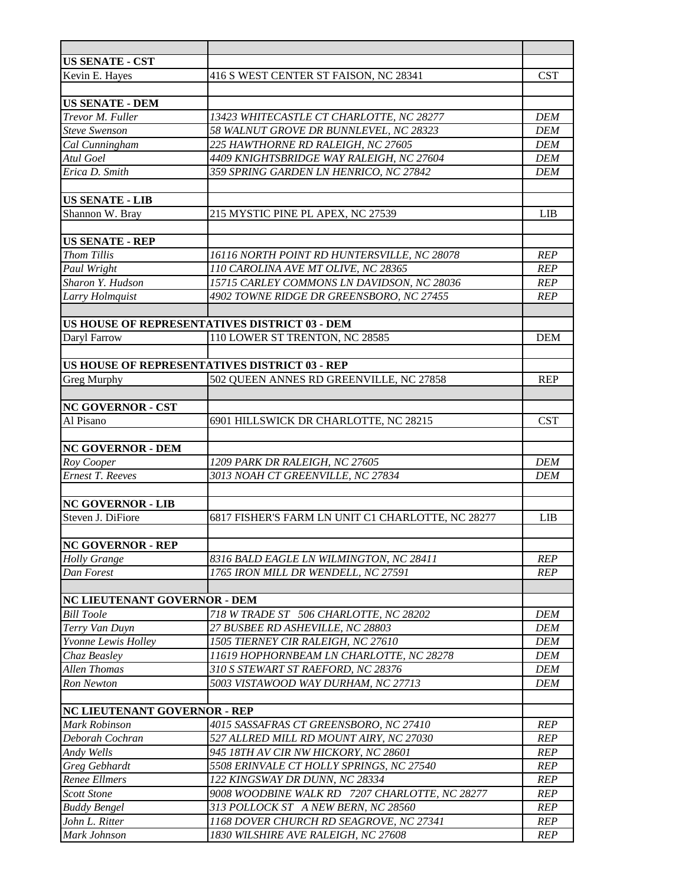| <b>US SENATE - CST</b>                          |                                                                                  |                          |
|-------------------------------------------------|----------------------------------------------------------------------------------|--------------------------|
| Kevin E. Hayes                                  | 416 S WEST CENTER ST FAISON, NC 28341                                            | <b>CST</b>               |
|                                                 |                                                                                  |                          |
| <b>US SENATE - DEM</b>                          |                                                                                  |                          |
| Trevor M. Fuller                                | 13423 WHITECASTLE CT CHARLOTTE, NC 28277                                         | <b>DEM</b>               |
| <b>Steve Swenson</b>                            | 58 WALNUT GROVE DR BUNNLEVEL, NC 28323                                           | <b>DEM</b>               |
| Cal Cunningham                                  | 225 HAWTHORNE RD RALEIGH, NC 27605                                               | <b>DEM</b>               |
| Atul Goel                                       | 4409 KNIGHTSBRIDGE WAY RALEIGH, NC 27604                                         | <b>DEM</b>               |
| Erica D. Smith                                  | 359 SPRING GARDEN LN HENRICO, NC 27842                                           | <b>DEM</b>               |
|                                                 |                                                                                  |                          |
| <b>US SENATE - LIB</b>                          |                                                                                  |                          |
| Shannon W. Bray                                 | 215 MYSTIC PINE PL APEX, NC 27539                                                | <b>LIB</b>               |
|                                                 |                                                                                  |                          |
| <b>US SENATE - REP</b>                          |                                                                                  |                          |
| <b>Thom Tillis</b>                              | 16116 NORTH POINT RD HUNTERSVILLE, NC 28078                                      | <b>REP</b>               |
| Paul Wright                                     | 110 CAROLINA AVE MT OLIVE, NC 28365                                              | <b>REP</b>               |
| Sharon Y. Hudson                                | 15715 CARLEY COMMONS LN DAVIDSON, NC 28036                                       | <b>REP</b>               |
| Larry Holmquist                                 | 4902 TOWNE RIDGE DR GREENSBORO, NC 27455                                         | <b>REP</b>               |
|                                                 |                                                                                  |                          |
|                                                 | US HOUSE OF REPRESENTATIVES DISTRICT 03 - DEM                                    |                          |
| Daryl Farrow                                    | 110 LOWER ST TRENTON, NC 28585                                                   | <b>DEM</b>               |
|                                                 |                                                                                  |                          |
| US HOUSE OF REPRESENTATIVES DISTRICT 03 - REP   |                                                                                  |                          |
| <b>Greg Murphy</b>                              | 502 QUEEN ANNES RD GREENVILLE, NC 27858                                          | <b>REP</b>               |
|                                                 |                                                                                  |                          |
| <b>NC GOVERNOR - CST</b>                        |                                                                                  |                          |
| Al Pisano                                       | 6901 HILLSWICK DR CHARLOTTE, NC 28215                                            | <b>CST</b>               |
|                                                 |                                                                                  |                          |
| <b>NC GOVERNOR - DEM</b>                        |                                                                                  |                          |
| Roy Cooper                                      | 1209 PARK DR RALEIGH, NC 27605                                                   | DEM                      |
| <b>Ernest T. Reeves</b>                         | 3013 NOAH CT GREENVILLE, NC 27834                                                | DEM                      |
|                                                 |                                                                                  |                          |
| <b>NC GOVERNOR - LIB</b>                        |                                                                                  |                          |
| Steven J. DiFiore                               | 6817 FISHER'S FARM LN UNIT C1 CHARLOTTE, NC 28277                                | <b>LIB</b>               |
|                                                 |                                                                                  |                          |
| <b>NC GOVERNOR - REP</b><br><b>Holly Grange</b> |                                                                                  |                          |
|                                                 |                                                                                  |                          |
|                                                 | 8316 BALD EAGLE LN WILMINGTON, NC 28411                                          | <b>REP</b>               |
| Dan Forest                                      | 1765 IRON MILL DR WENDELL, NC 27591                                              | <b>REP</b>               |
|                                                 |                                                                                  |                          |
| NC LIEUTENANT GOVERNOR - DEM                    |                                                                                  |                          |
| <b>Bill Toole</b>                               | 718 W TRADE ST 506 CHARLOTTE, NC 28202                                           | <b>DEM</b>               |
| Terry Van Duyn                                  | 27 BUSBEE RD ASHEVILLE, NC 28803                                                 | <b>DEM</b>               |
| Yvonne Lewis Holley                             | 1505 TIERNEY CIR RALEIGH, NC 27610                                               | <b>DEM</b>               |
| Chaz Beasley                                    | 11619 HOPHORNBEAM LN CHARLOTTE, NC 28278                                         | <b>DEM</b>               |
| <b>Allen Thomas</b>                             | 310 S STEWART ST RAEFORD, NC 28376                                               | <b>DEM</b>               |
| <b>Ron Newton</b>                               | 5003 VISTAWOOD WAY DURHAM, NC 27713                                              | <b>DEM</b>               |
| <b>NC LIEUTENANT GOVERNOR - REP</b>             |                                                                                  |                          |
|                                                 |                                                                                  |                          |
| Mark Robinson<br>Deborah Cochran                | 4015 SASSAFRAS CT GREENSBORO, NC 27410                                           | <b>REP</b><br><b>REP</b> |
|                                                 | 527 ALLRED MILL RD MOUNT AIRY, NC 27030                                          | <b>REP</b>               |
| Andy Wells                                      | 945 18TH AV CIR NW HICKORY, NC 28601<br>5508 ERINVALE CT HOLLY SPRINGS, NC 27540 | <b>REP</b>               |
| Greg Gebhardt                                   |                                                                                  | <b>REP</b>               |
| <b>Renee Ellmers</b><br><b>Scott Stone</b>      | 122 KINGSWAY DR DUNN, NC 28334<br>9008 WOODBINE WALK RD 7207 CHARLOTTE, NC 28277 | <b>REP</b>               |
| <b>Buddy Bengel</b>                             | 313 POLLOCK ST A NEW BERN, NC 28560                                              | <b>REP</b>               |
| John L. Ritter                                  | 1168 DOVER CHURCH RD SEAGROVE, NC 27341                                          | REP                      |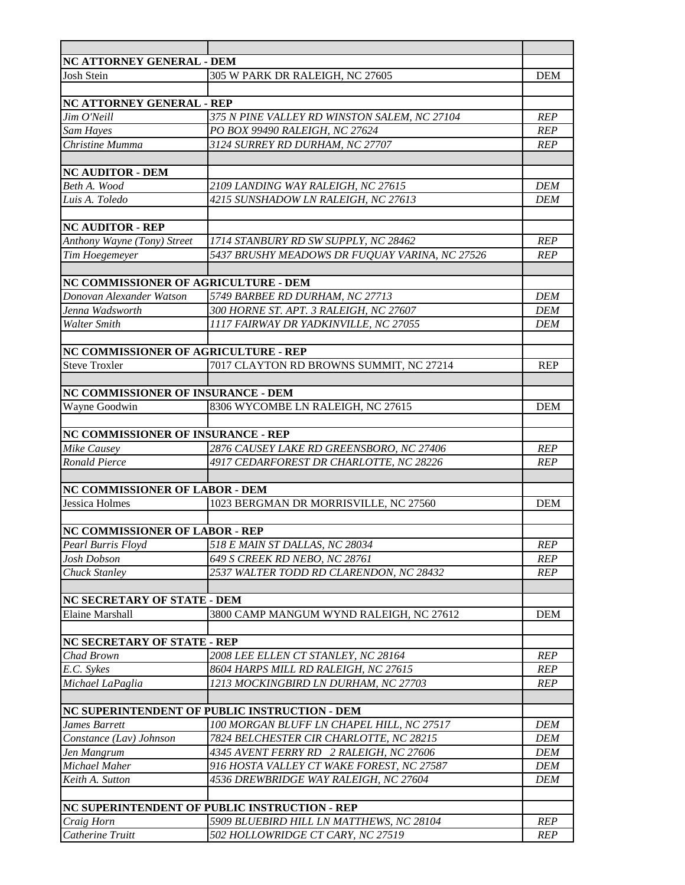| NC ATTORNEY GENERAL - DEM            |                                                |            |
|--------------------------------------|------------------------------------------------|------------|
| Josh Stein                           | 305 W PARK DR RALEIGH, NC 27605                | <b>DEM</b> |
|                                      |                                                |            |
| <b>NC ATTORNEY GENERAL - REP</b>     |                                                |            |
| Jim O'Neill                          | 375 N PINE VALLEY RD WINSTON SALEM, NC 27104   | <b>REP</b> |
| Sam Hayes                            | PO BOX 99490 RALEIGH, NC 27624                 | <b>REP</b> |
| Christine Mumma                      | 3124 SURREY RD DURHAM, NC 27707                | <b>REP</b> |
|                                      |                                                |            |
| <b>NC AUDITOR - DEM</b>              |                                                |            |
| Beth A. Wood                         | 2109 LANDING WAY RALEIGH, NC 27615             | <b>DEM</b> |
| Luis A. Toledo                       | 4215 SUNSHADOW LN RALEIGH, NC 27613            | <b>DEM</b> |
|                                      |                                                |            |
| <b>NC AUDITOR - REP</b>              |                                                |            |
| Anthony Wayne (Tony) Street          | 1714 STANBURY RD SW SUPPLY, NC 28462           | REP        |
| Tim Hoegemeyer                       | 5437 BRUSHY MEADOWS DR FUQUAY VARINA, NC 27526 | <b>REP</b> |
|                                      |                                                |            |
| NC COMMISSIONER OF AGRICULTURE - DEM |                                                |            |
| Donovan Alexander Watson             | 5749 BARBEE RD DURHAM, NC 27713                | <b>DEM</b> |
| Jenna Wadsworth                      | 300 HORNE ST. APT. 3 RALEIGH, NC 27607         | DEM        |
| <b>Walter Smith</b>                  | 1117 FAIRWAY DR YADKINVILLE, NC 27055          | <b>DEM</b> |
|                                      |                                                |            |
| NC COMMISSIONER OF AGRICULTURE - REP |                                                |            |
| <b>Steve Troxler</b>                 | 7017 CLAYTON RD BROWNS SUMMIT, NC 27214        | <b>REP</b> |
|                                      |                                                |            |
| NC COMMISSIONER OF INSURANCE - DEM   |                                                |            |
| Wayne Goodwin                        | 8306 WYCOMBE LN RALEIGH, NC 27615              | <b>DEM</b> |
|                                      |                                                |            |
| NC COMMISSIONER OF INSURANCE - REP   |                                                |            |
| Mike Causey                          | 2876 CAUSEY LAKE RD GREENSBORO, NC 27406       | <b>REP</b> |
| <b>Ronald Pierce</b>                 | 4917 CEDARFOREST DR CHARLOTTE, NC 28226        | <b>REP</b> |
|                                      |                                                |            |
| NC COMMISSIONER OF LABOR - DEM       |                                                |            |
| Jessica Holmes                       | 1023 BERGMAN DR MORRISVILLE, NC 27560          | <b>DEM</b> |
|                                      |                                                |            |
| NC COMMISSIONER OF LABOR - REP       |                                                |            |
| <b>Pearl Burris Floyd</b>            | 518 E MAIN ST DALLAS, NC 28034                 | REP        |
| Josh Dobson                          | 649 S CREEK RD NEBO, NC 28761                  | <b>REP</b> |
| Chuck Stanley                        | 2537 WALTER TODD RD CLARENDON, NC 28432        | <b>REP</b> |
|                                      |                                                |            |
| NC SECRETARY OF STATE - DEM          |                                                |            |
| Elaine Marshall                      | 3800 CAMP MANGUM WYND RALEIGH, NC 27612        | <b>DEM</b> |
|                                      |                                                |            |
| NC SECRETARY OF STATE - REP          |                                                |            |
| Chad Brown                           | 2008 LEE ELLEN CT STANLEY, NC 28164            | <b>REP</b> |
| E.C. Sykes                           | 8604 HARPS MILL RD RALEIGH, NC 27615           | <b>REP</b> |
| Michael LaPaglia                     | 1213 MOCKINGBIRD LN DURHAM, NC 27703           | <b>REP</b> |
|                                      |                                                |            |
|                                      | NC SUPERINTENDENT OF PUBLIC INSTRUCTION - DEM  |            |
| James Barrett                        | 100 MORGAN BLUFF LN CHAPEL HILL, NC 27517      | <b>DEM</b> |
| Constance (Lav) Johnson              | 7824 BELCHESTER CIR CHARLOTTE, NC 28215        | <b>DEM</b> |
| Jen Mangrum                          | 4345 AVENT FERRY RD 2 RALEIGH, NC 27606        | <b>DEM</b> |
| Michael Maher                        | 916 HOSTA VALLEY CT WAKE FOREST, NC 27587      | <b>DEM</b> |
| Keith A. Sutton                      | 4536 DREWBRIDGE WAY RALEIGH, NC 27604          | <b>DEM</b> |
|                                      |                                                |            |
|                                      | NC SUPERINTENDENT OF PUBLIC INSTRUCTION - REP  |            |
| Craig Horn                           | 5909 BLUEBIRD HILL LN MATTHEWS, NC 28104       | <b>REP</b> |
| Catherine Truitt                     | 502 HOLLOWRIDGE CT CARY, NC 27519              | <b>REP</b> |
|                                      |                                                |            |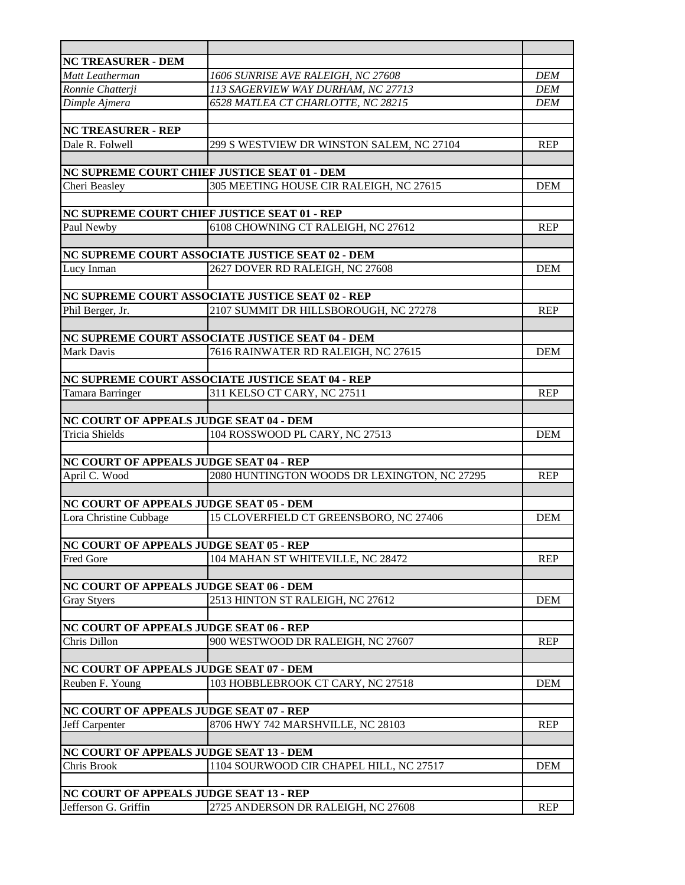| <b>NC TREASURER - DEM</b>                                  |                                                  |            |
|------------------------------------------------------------|--------------------------------------------------|------------|
| Matt Leatherman                                            | 1606 SUNRISE AVE RALEIGH, NC 27608               | <b>DEM</b> |
| Ronnie Chatterji                                           | 113 SAGERVIEW WAY DURHAM, NC 27713               | DEM        |
| Dimple Ajmera                                              | 6528 MATLEA CT CHARLOTTE, NC 28215               | DEM        |
|                                                            |                                                  |            |
| <b>NC TREASURER - REP</b><br>Dale R. Folwell               |                                                  | <b>REP</b> |
|                                                            | 299 S WESTVIEW DR WINSTON SALEM, NC 27104        |            |
|                                                            | NC SUPREME COURT CHIEF JUSTICE SEAT 01 - DEM     |            |
| Cheri Beasley                                              | 305 MEETING HOUSE CIR RALEIGH, NC 27615          | <b>DEM</b> |
|                                                            |                                                  |            |
|                                                            | NC SUPREME COURT CHIEF JUSTICE SEAT 01 - REP     |            |
| Paul Newby                                                 | 6108 CHOWNING CT RALEIGH, NC 27612               | <b>REP</b> |
|                                                            |                                                  |            |
|                                                            | NC SUPREME COURT ASSOCIATE JUSTICE SEAT 02 - DEM |            |
| Lucy Inman                                                 | 2627 DOVER RD RALEIGH, NC 27608                  | <b>DEM</b> |
|                                                            |                                                  |            |
|                                                            | NC SUPREME COURT ASSOCIATE JUSTICE SEAT 02 - REP |            |
| Phil Berger, Jr.                                           | 2107 SUMMIT DR HILLSBOROUGH, NC 27278            | <b>REP</b> |
|                                                            | NC SUPREME COURT ASSOCIATE JUSTICE SEAT 04 - DEM |            |
| Mark Davis                                                 | 7616 RAINWATER RD RALEIGH, NC 27615              | <b>DEM</b> |
|                                                            |                                                  |            |
|                                                            | NC SUPREME COURT ASSOCIATE JUSTICE SEAT 04 - REP |            |
| Tamara Barringer                                           | 311 KELSO CT CARY, NC 27511                      | <b>REP</b> |
|                                                            |                                                  |            |
| NC COURT OF APPEALS JUDGE SEAT 04 - DEM                    |                                                  |            |
| Tricia Shields                                             | 104 ROSSWOOD PL CARY, NC 27513                   | <b>DEM</b> |
|                                                            |                                                  |            |
| NC COURT OF APPEALS JUDGE SEAT 04 - REP                    |                                                  |            |
| April C. Wood                                              | 2080 HUNTINGTON WOODS DR LEXINGTON, NC 27295     | <b>REP</b> |
| NC COURT OF APPEALS JUDGE SEAT 05 - DEM                    |                                                  |            |
| Lora Christine Cubbage                                     | 15 CLOVERFIELD CT GREENSBORO, NC 27406           | <b>DEM</b> |
|                                                            |                                                  |            |
| NC COURT OF APPEALS JUDGE SEAT 05 - REP                    |                                                  |            |
| Fred Gore                                                  | 104 MAHAN ST WHITEVILLE, NC 28472                | <b>REP</b> |
|                                                            |                                                  |            |
| NC COURT OF APPEALS JUDGE SEAT 06 - DEM                    |                                                  |            |
| <b>Gray Styers</b>                                         | 2513 HINTON ST RALEIGH, NC 27612                 | <b>DEM</b> |
|                                                            |                                                  |            |
| NC COURT OF APPEALS JUDGE SEAT 06 - REP                    |                                                  |            |
| Chris Dillon                                               | 900 WESTWOOD DR RALEIGH, NC 27607                | <b>REP</b> |
|                                                            |                                                  |            |
| NC COURT OF APPEALS JUDGE SEAT 07 - DEM<br>Reuben F. Young | 103 HOBBLEBROOK CT CARY, NC 27518                | <b>DEM</b> |
|                                                            |                                                  |            |
| NC COURT OF APPEALS JUDGE SEAT 07 - REP                    |                                                  |            |
| Jeff Carpenter                                             | 8706 HWY 742 MARSHVILLE, NC 28103                | <b>REP</b> |
|                                                            |                                                  |            |
| NC COURT OF APPEALS JUDGE SEAT 13 - DEM                    |                                                  |            |
| Chris Brook                                                | 1104 SOURWOOD CIR CHAPEL HILL, NC 27517          | <b>DEM</b> |
|                                                            |                                                  |            |
| NC COURT OF APPEALS JUDGE SEAT 13 - REP                    |                                                  |            |
| Jefferson G. Griffin                                       | 2725 ANDERSON DR RALEIGH, NC 27608               | <b>REP</b> |